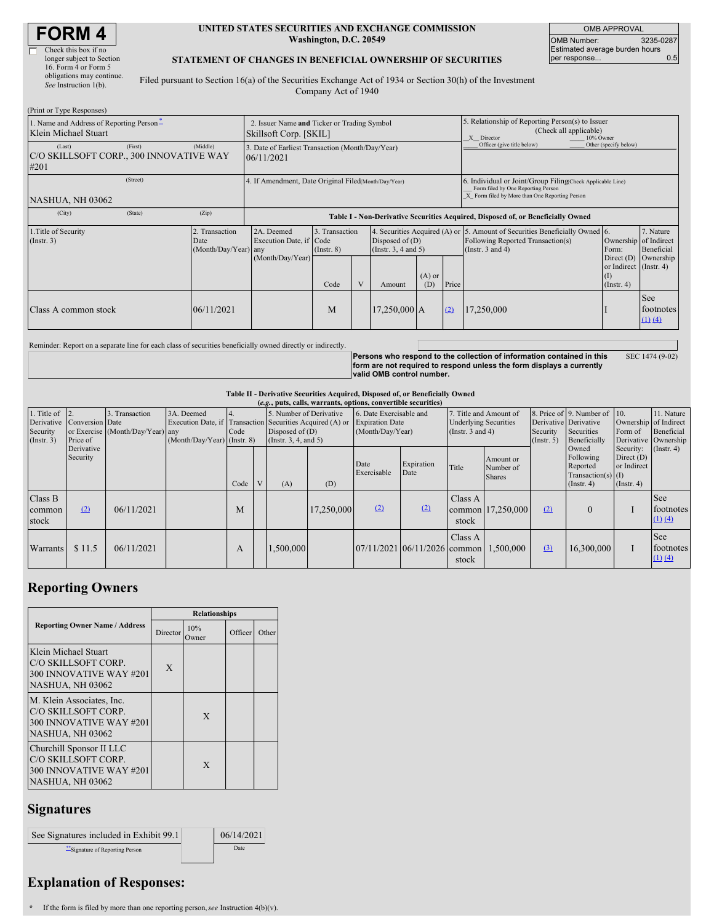# **FORM 4**

| Check this box if no      |
|---------------------------|
| longer subject to Section |
| 16. Form 4 or Form 5      |
| obligations may continue. |
| See Instruction 1(b).     |

#### **UNITED STATES SECURITIES AND EXCHANGE COMMISSION Washington, D.C. 20549**

OMB APPROVAL OMB Number: 3235-0287 Estimated average burden hours<br>per response... 0.5 per response...

## **STATEMENT OF CHANGES IN BENEFICIAL OWNERSHIP OF SECURITIES**

Filed pursuant to Section 16(a) of the Securities Exchange Act of 1934 or Section 30(h) of the Investment Company Act of 1940

| (Print or Type Responses)                                                                                                                          |         |                                                      |                                                                                  |                                   |   |                                           |                                                                                                                                                    |       |                                                                                                                                           |                                                                 |                                 |  |
|----------------------------------------------------------------------------------------------------------------------------------------------------|---------|------------------------------------------------------|----------------------------------------------------------------------------------|-----------------------------------|---|-------------------------------------------|----------------------------------------------------------------------------------------------------------------------------------------------------|-------|-------------------------------------------------------------------------------------------------------------------------------------------|-----------------------------------------------------------------|---------------------------------|--|
| 1. Name and Address of Reporting Person <sup>*</sup><br>Klein Michael Stuart                                                                       |         |                                                      | 2. Issuer Name and Ticker or Trading Symbol<br>Skillsoft Corp. [SKIL]            |                                   |   |                                           |                                                                                                                                                    |       | 5. Relationship of Reporting Person(s) to Issuer<br>(Check all applicable)<br>X Director<br>10% Owner                                     |                                                                 |                                 |  |
| (First)<br>(Middle)<br>(Last)<br>3. Date of Earliest Transaction (Month/Day/Year)<br>C/O SKILLSOFT CORP., 300 INNOVATIVE WAY<br>06/11/2021<br>#201 |         |                                                      |                                                                                  |                                   |   |                                           |                                                                                                                                                    |       | Officer (give title below)                                                                                                                | Other (specify below)                                           |                                 |  |
| NASHUA, NH 03062                                                                                                                                   |         | 4. If Amendment, Date Original Filed(Month/Day/Year) |                                                                                  |                                   |   |                                           | 6. Individual or Joint/Group Filing(Check Applicable Line)<br>Form filed by One Reporting Person<br>X Form filed by More than One Reporting Person |       |                                                                                                                                           |                                                                 |                                 |  |
| (City)                                                                                                                                             | (State) | (Zip)                                                | Table I - Non-Derivative Securities Acquired, Disposed of, or Beneficially Owned |                                   |   |                                           |                                                                                                                                                    |       |                                                                                                                                           |                                                                 |                                 |  |
| 1. Title of Security<br>(Insert. 3)                                                                                                                |         | 2. Transaction<br>Date<br>(Month/Day/Year) any       | 2A. Deemed<br>Execution Date, if Code                                            | 3. Transaction<br>$($ Instr. $8)$ |   | Disposed of $(D)$<br>(Insert. 3, 4 and 5) |                                                                                                                                                    |       | 4. Securities Acquired (A) or 5. Amount of Securities Beneficially Owned 6.<br>Following Reported Transaction(s)<br>(Instr. $3$ and $4$ ) | Ownership of Indirect<br>Form:                                  | 7. Nature<br>Beneficial         |  |
|                                                                                                                                                    |         |                                                      | (Month/Day/Year)                                                                 | Code                              | V | Amount                                    | $(A)$ or<br>(D)                                                                                                                                    | Price |                                                                                                                                           | Direct $(D)$<br>or Indirect (Instr. 4)<br>$($ I)<br>(Insert. 4) | Ownership                       |  |
| Class A common stock                                                                                                                               |         | 06/11/2021                                           |                                                                                  | M                                 |   | $17,250,000$ A                            |                                                                                                                                                    | (2)   | 17,250,000                                                                                                                                |                                                                 | See<br>footnotes<br>$(1)$ $(4)$ |  |

Reminder: Report on a separate line for each class of securities beneficially owned directly or indirectly.

**Persons who respond to the collection of information contained in this form are not required to respond unless the form displays a currently valid OMB control number.** SEC 1474 (9-02)

#### **Table II - Derivative Securities Acquired, Disposed of, or Beneficially Owned**

| (e.g., puts, calls, warrants, options, convertible securities) |                                        |                                                    |                                                                                                        |      |   |                                                                       |            |                                                                       |                                 |                                                                                 |                                         |                              |                                                                                     |                                                                                 |                                                             |                  |
|----------------------------------------------------------------|----------------------------------------|----------------------------------------------------|--------------------------------------------------------------------------------------------------------|------|---|-----------------------------------------------------------------------|------------|-----------------------------------------------------------------------|---------------------------------|---------------------------------------------------------------------------------|-----------------------------------------|------------------------------|-------------------------------------------------------------------------------------|---------------------------------------------------------------------------------|-------------------------------------------------------------|------------------|
| 1. Title of $\vert$ 2.<br>Security<br>(Insert. 3)              | Derivative Conversion Date<br>Price of | 3. Transaction<br>or Exercise (Month/Day/Year) any | 3A. Deemed<br>Execution Date, if Transaction Securities Acquired (A) or<br>(Month/Day/Year) (Instr. 8) | Code |   | 5. Number of Derivative<br>Disposed of $(D)$<br>(Insert. 3, 4, and 5) |            | 6. Date Exercisable and<br><b>Expiration Date</b><br>(Month/Day/Year) |                                 | 7. Title and Amount of<br><b>Underlying Securities</b><br>(Instr. $3$ and $4$ ) |                                         | Security<br>$($ Instr. 5 $)$ | 8. Price of 9. Number of 10.<br>Derivative Derivative<br>Securities<br>Beneficially | Ownership of Indirect<br>Form of<br>Derivative Ownership                        | 11. Nature<br>Beneficial                                    |                  |
|                                                                | Derivative<br>Security                 |                                                    |                                                                                                        | Code | V | (A)                                                                   | (D)        | Date<br>Exercisable                                                   | Expiration<br>Date              | Title                                                                           | Amount or<br>Number of<br><b>Shares</b> |                              | Owned<br>Following<br>Reported<br>$($ Instr. 4 $)$                                  | Security:<br>Direct $(D)$<br>or Indirect<br>Transaction(s) $(I)$<br>(Insert. 4) |                                                             | $($ Instr. 4 $)$ |
| Class B<br>common<br>stock                                     | (2)                                    | 06/11/2021                                         |                                                                                                        | M    |   |                                                                       | 17,250,000 | (2)                                                                   | (2)                             | Class A<br>stock                                                                | common 17,250,000                       | (2)                          |                                                                                     |                                                                                 | <b>See</b><br>footnotes<br>$\underline{(1)}\underline{(4)}$ |                  |
| Warrants                                                       | \$11.5                                 | 06/11/2021                                         |                                                                                                        | А    |   | 1,500,000                                                             |            |                                                                       | $[07/11/2021]06/11/2026$ common | Class A<br>stock                                                                | 1.500,000                               | (3)                          | 16,300,000                                                                          |                                                                                 | See<br>footnotes<br>(1) (4)                                 |                  |

## **Reporting Owners**

|                                                                                                        | <b>Relationships</b> |              |         |       |  |  |  |
|--------------------------------------------------------------------------------------------------------|----------------------|--------------|---------|-------|--|--|--|
| <b>Reporting Owner Name / Address</b>                                                                  | Director             | 10%<br>Owner | Officer | Other |  |  |  |
| Klein Michael Stuart<br>C/O SKILLSOFT CORP.<br>300 INNOVATIVE WAY #201<br>NASHUA, NH 03062             | $\mathbf{X}$         |              |         |       |  |  |  |
| M. Klein Associates, Inc.<br>C/O SKILLSOFT CORP.<br>300 INNOVATIVE WAY #201<br><b>NASHUA, NH 03062</b> |                      | X            |         |       |  |  |  |
| Churchill Sponsor II LLC<br>C/O SKILLSOFT CORP.<br>300 INNOVATIVE WAY #201<br>NASHUA, NH 03062         |                      | X            |         |       |  |  |  |

## **Signatures**

| See Signatures included in Exhibit 99.1 | 06/14/2021 |
|-----------------------------------------|------------|
| Signature of Reporting Person           | Date.      |

## **Explanation of Responses:**

**\*** If the form is filed by more than one reporting person,*see* Instruction 4(b)(v).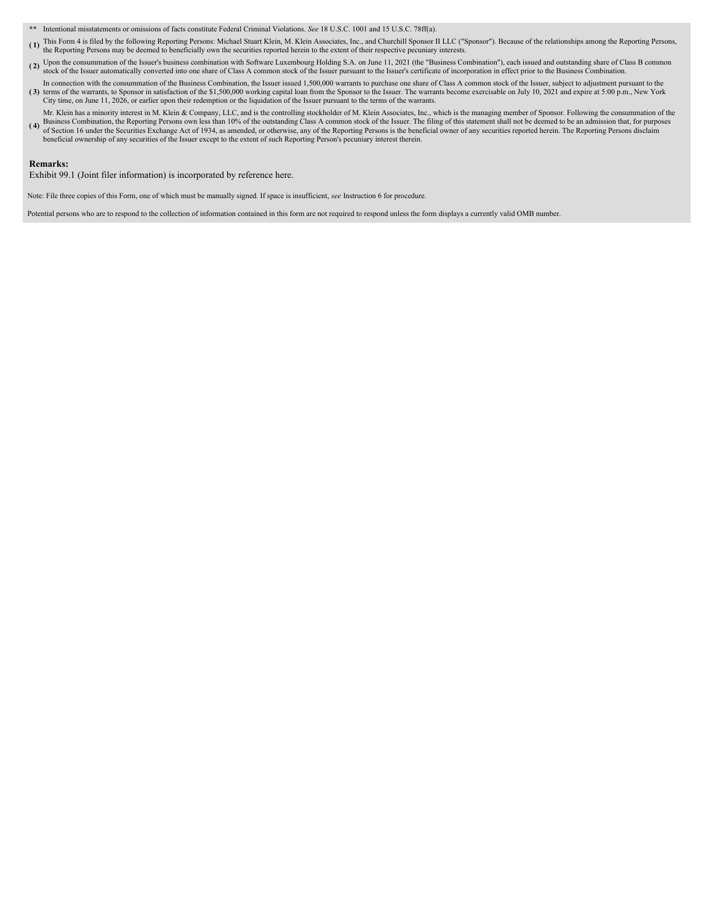**\*\*** Intentional misstatements or omissions of facts constitute Federal Criminal Violations. *See* 18 U.S.C. 1001 and 15 U.S.C. 78ff(a).

- This Form 4 is filed by the following Reporting Persons: Michael Stuart Klein, M. Klein Associates, Inc., and Churchill Sponsor II LLC ("Sponsor"). Because of the relationships among the Reporting Persons, (1) this Form 4 is med by the following reporting Freemelics.<br>the Reporting Persons may be deemed to beneficially own the securities reported herein to the extent of their respective pecuniary interests.
- (2) Upon the consummation of the Issuer's business combination with Software Luxembourg Holding S.A. on June 11, 2021 (the "Business Combination"), each issued and outstanding share of Class B common stock of the Issuer pu
- (3) terms of the warrants, to Sponsor in satisfaction of the \$1,500,000 working capital loan from the Sponsor to the Issuer. The warrants become exercisable on July 10, 2021 and expire at 5:00 p.m., New York In connection with the consummation of the Business Combination, the Issuer issued 1,500,000 warrants to purchase one share of Class A common stock of the Issuer, subject to adjustment pursuant to the City time, on June 11, 2026, or earlier upon their redemption or the liquidation of the Issuer pursuant to the terms of the warrants.
- **( 4)** Mr. Klein has a minority interest in M. Klein & Company, LLC, and is the controlling stockholder of M. Klein Associates, Inc., which is the managing member of Sponsor. Following the consummation of the Business Combination, the Reporting Persons own less than 10% of the outstanding Class A common stock of the Issuer. The filing of this statement shall not be deemed to be an admission that, for purposes of Section 16 under the Securities Exchange Act of 1934, as amended, or otherwise, any of the Reporting Persons is the beneficial owner of any securities reported herein. The Reporting Persons disclaim beneficial ownership of any securities of the Issuer except to the extent of such Reporting Person's pecuniary interest therein.

#### **Remarks:**

Exhibit 99.1 (Joint filer information) is incorporated by reference here.

Note: File three copies of this Form, one of which must be manually signed. If space is insufficient, *see* Instruction 6 for procedure.

Potential persons who are to respond to the collection of information contained in this form are not required to respond unless the form displays a currently valid OMB number.